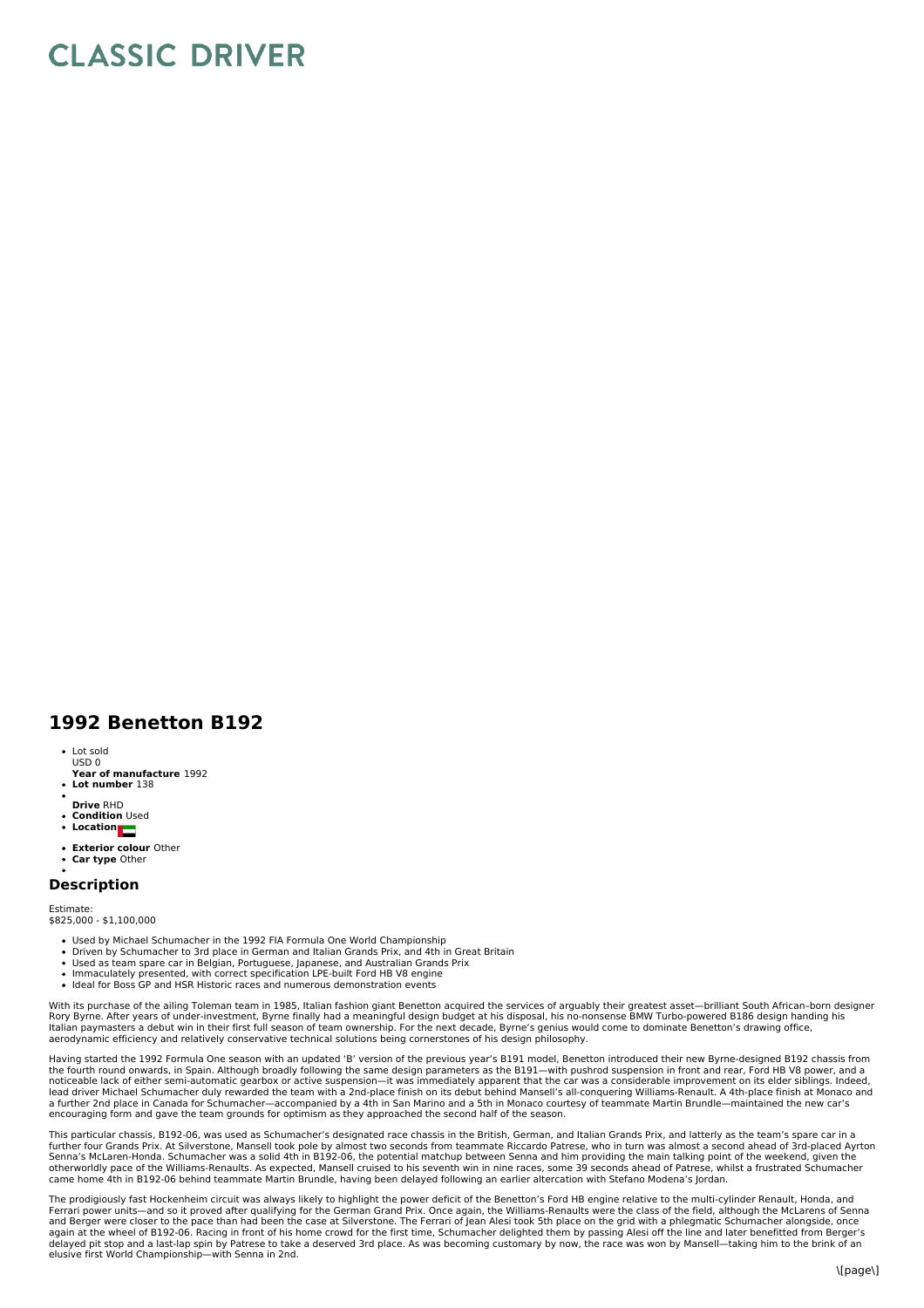## **CLASSIC DRIVER**

## **1992 Benetton B192**

- Lot sold USD 0
- **Year of manufacture** 1992 **Lot number** 138
- 
- **Drive** RHD
- **Condition** Used **Location**
- 
- **Exterior colour** Other **Car type** Other

## **Description**

Estimate: \$825,000 - \$1,100,000

- Used by Michael Schumacher in the 1992 FIA Formula One World Championship
- Driven by Schumacher to 3rd place in German and Italian Grands Prix, and 4th in Great Britain
- Used as team spare car in Belgian, Portuguese, Japanese, and Australian Grands Prix Immaculately presented, with correct specification LPE-built Ford HB V8 engine
- Ideal for Boss GP and HSR Historic races and numerous demonstration events
- 

With its purchase of the ailing Toleman team in 1985, Italian fashion giant Benetton acquired the services of arguably their greatest asset—brilliant South African-born designer<br>Rory Byrne. After years of under-investment, Italian paymasters a debut win in their first full season of team ownership. For the next decade, Byrne's genius would come to dominate Benetton's drawing office, aerodynamic efficiency and relatively conservative technical solutions being cornerstones of his design philosophy.

Having started the 1992 Formula One season with an updated 'B' version of the previous year's B191 model, Benetton introduced their new Byrne-designed B192 chassis from the fourth round onwards, in Spain. Although broadly following the same design parameters as the B191—with pushrod suspension in front and rear, Ford HB V8 power, and a<br>noticeable lack of either semi-automatic gearbox or a lead driver Michael Schumacher duly rewarded the team with a 2nd-place finish on its debut behind Mansell's all-conquering Williams-Renault. A 4th-place finish at Monaco and<br>a further 2nd place in Canada for Schumacher—acc encouraging form and gave the team grounds for optimism as they approached the second half of the season.

This particular chassis, B192-06, was used as Schumacher's designated race chassis in the British, German, and Italian Grands Prix, and latterly as the team's spare car in a further four Grands Prix. At Silverstone, Mansell took pole by almost two seconds from teammate Riccardo Patrese, who in turn was almost a second ahead of 3rd-placed Ayrton<br>Senna's McLaren-Honda. Schumacher was a solid 4th otherworldly pace of the Williams-Renaults. As expected, Mansell cruised to his seventh win in nine races, some 39 seconds ahead of Patrese, whilst a frustrated Schumacher<br>came home 4th in B192-06 behind teammate Martin Br

The prodigiously fast Hockenheim circuit was always likely to highlight the power deficit of the Benetton's Ford HB engine relative to the multi-cylinder Renault, Honda, and Ferrari power units—and so it proved after qualifying for the German Grand Prix. Once again, the Williams-Renaults were the class of the field, although the McLarens of Senna<br>and Berger were closer to the pace than had bee delayed pit stop and a last-lap spin by Patrese to take a deserved 3rd place. As was becoming customary by now, the race was won by Mansell—taking him to the brink of an elusive first World Championship—with Senna in 2nd.